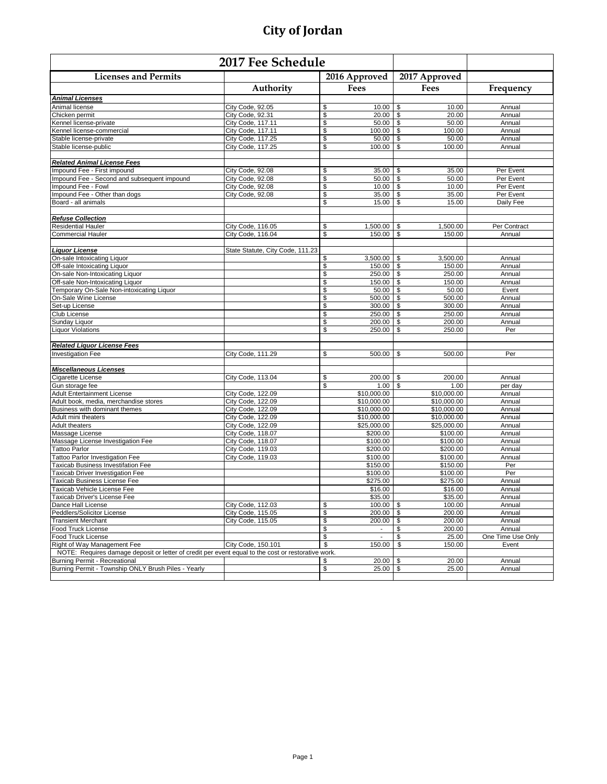| 2017 Fee Schedule                                                                                  |                                  |                      |                                |                   |
|----------------------------------------------------------------------------------------------------|----------------------------------|----------------------|--------------------------------|-------------------|
| <b>Licenses and Permits</b>                                                                        |                                  | 2016 Approved        | 2017 Approved                  |                   |
|                                                                                                    | Authority                        | Fees                 | Fees                           | Frequency         |
| <u> Animal Licenses</u>                                                                            |                                  |                      |                                |                   |
| Animal license                                                                                     | City Code, 92.05                 | \$                   | 10.00                          | Annual            |
| Chicken permit                                                                                     | City Code, 92.31                 | \$<br>20.00          | \$<br>20.00                    | Annual            |
| Kennel license-private                                                                             | City Code, 117.11                | \$<br>50.00          | \$<br>50.00                    | Annual            |
| Kennel license-commercial                                                                          | City Code, 117.11                | \$<br>$100.00$ \$    | 100.00                         | Annual            |
| Stable license-private                                                                             | City Code, 117.25                | \$<br>50.00          | $\boldsymbol{\theta}$<br>50.00 | Annual            |
| Stable license-public                                                                              | City Code, 117.25                | \$<br>100.00         | \$<br>100.00                   | Annual            |
|                                                                                                    |                                  |                      |                                |                   |
| <b>Related Animal License Fees</b>                                                                 |                                  |                      |                                |                   |
| Impound Fee - First impound                                                                        | City Code, 92.08                 | \$<br>35.00          | \$<br>35.00                    | Per Event         |
| Impound Fee - Second and subsequent impound                                                        | City Code, 92.08                 | \$<br>$50.00$ \$     | 50.00                          | Per Event         |
| Impound Fee - Fowl                                                                                 | City Code, 92.08                 | $10.00$ \$<br>\$     | 10.00                          | Per Event         |
| Impound Fee - Other than dogs                                                                      | City Code, 92.08                 | \$<br>35.00          | \$<br>35.00                    | Per Event         |
| Board - all animals                                                                                |                                  | \$<br>15.00          | \$<br>15.00                    | Daily Fee         |
| <b>Refuse Collection</b>                                                                           |                                  |                      |                                |                   |
| <b>Residential Hauler</b>                                                                          | City Code, 116.05                | \$<br>1,500.00       | 1,500.00<br>\$                 | Per Contract      |
| <b>Commercial Hauler</b>                                                                           | City Code, 116.04                | \$<br>150.00         | \$<br>150.00                   | Annual            |
|                                                                                                    |                                  |                      |                                |                   |
| <b>Liquor License</b>                                                                              | State Statute, City Code, 111.23 |                      |                                |                   |
| On-sale Intoxicating Liquor                                                                        |                                  | 3,500.00<br>\$       | 3,500.00<br>\$                 | Annual            |
| Off-sale Intoxicating Liquor                                                                       |                                  | 150.00<br>\$         | \$<br>150.00                   | Annual            |
| On-sale Non-Intoxicating Liquor                                                                    |                                  | $250.00$ \$<br>\$    | 250.00                         | Annual            |
| Off-sale Non-Intoxicating Liquor                                                                   |                                  | \$<br>150.00 \$      | 150.00                         | Annual            |
| Temporary On-Sale Non-intoxicating Liquor                                                          |                                  | \$<br>50.00          | \$<br>50.00                    | Event             |
| On-Sale Wine License                                                                               |                                  | \$<br>500.00 \$      | 500.00                         | Annual            |
| Set-up License                                                                                     |                                  | \$<br>300.00         | \$<br>300.00                   | Annual            |
| Club License                                                                                       |                                  | \$<br>250.00         | \$<br>250.00                   | Annual            |
| Sunday Liquor                                                                                      |                                  | \$<br>200.00         | \$<br>200.00                   | Annual            |
| <b>Liquor Violations</b>                                                                           |                                  | \$<br>250.00         | \$<br>250.00                   | Per               |
|                                                                                                    |                                  |                      |                                |                   |
| <b>Related Liquor License Fees</b>                                                                 |                                  |                      |                                |                   |
| <b>Investigation Fee</b>                                                                           | City Code, 111.29                | \$<br>$500.00$ \ \$  | 500.00                         | Per               |
| <b>Miscellaneous Licenses</b>                                                                      |                                  |                      |                                |                   |
| Cigarette License                                                                                  | City Code, 113.04                | \$<br>200.00         | 200.00<br>\$                   | Annual            |
| Gun storage fee                                                                                    |                                  | $1.00$ \$<br>\$      | 1.00                           | per day           |
| <b>Adult Entertainment License</b>                                                                 | City Code, 122.09                | \$10,000.00          | \$10,000.00                    | Annual            |
| Adult book, media, merchandise stores                                                              | City Code, 122.09                | \$10,000.00          | \$10,000.00                    | Annual            |
| Business with dominant themes                                                                      | City Code, 122.09                | \$10,000.00          | \$10,000.00                    | Annual            |
| Adult mini theaters                                                                                | City Code, 122.09                | \$10,000.00          | \$10,000.00                    | Annual            |
| <b>Adult theaters</b>                                                                              | City Code, 122.09                | \$25,000.00          | \$25,000.00                    | Annual            |
| Massage License                                                                                    | City Code, 118.07                | \$200.00             | \$100.00                       | Annual            |
| Massage License Investigation Fee                                                                  | City Code, 118.07                | \$100.00             | \$100.00                       | Annual            |
| Tattoo Parlor                                                                                      | City Code, 119.03                | \$200.00             | \$200.00                       | Annual            |
| <b>Tattoo Parlor Investigation Fee</b>                                                             | City Code, 119.03                | \$100.00             | \$100.00                       | Annual            |
| <b>Taxicab Business Investifation Fee</b>                                                          |                                  | \$150.00             | \$150.00                       | Per               |
| <b>Taxicab Driver Investigation Fee</b>                                                            |                                  | \$100.00             | \$100.00                       | Per               |
| Taxicab Business License Fee                                                                       |                                  | \$275.00             | \$275.00                       | Annual            |
| Taxicab Vehicle License Fee                                                                        |                                  | \$16.00              | \$16.00                        | Annual            |
| Taxicab Driver's License Fee                                                                       |                                  | \$35.00              | \$35.00                        | Annual            |
| Dance Hall License                                                                                 | City Code, 112.03                | \$<br>100.00 \$      | 100.00                         | Annual            |
| Peddlers/Solicitor License                                                                         | City Code, 115.05                | \$<br>$200.00$ \$    | 200.00                         | Annual            |
| <b>Transient Merchant</b>                                                                          | City Code, 115.05                | \$<br>200.00         | \$<br>200.00                   | Annual            |
| Food Truck License                                                                                 |                                  | \$<br>$\sim$         | \$<br>200.00                   | Annual            |
| Food Truck License                                                                                 |                                  | \$<br>$\blacksquare$ | \$<br>25.00                    | One Time Use Only |
| Right of Way Management Fee                                                                        | City Code, 150.101               | \$<br>150.00         | \$<br>150.00                   | Event             |
| NOTE: Requires damage deposit or letter of credit per event equal to the cost or restorative work. |                                  |                      |                                |                   |
| Burning Permit - Recreational                                                                      |                                  | 20.00<br>\$          | \$<br>20.00                    | Annual            |
| Burning Permit - Township ONLY Brush Piles - Yearly                                                |                                  | \$<br>25.00          | \$<br>25.00                    | Annual            |
|                                                                                                    |                                  |                      |                                |                   |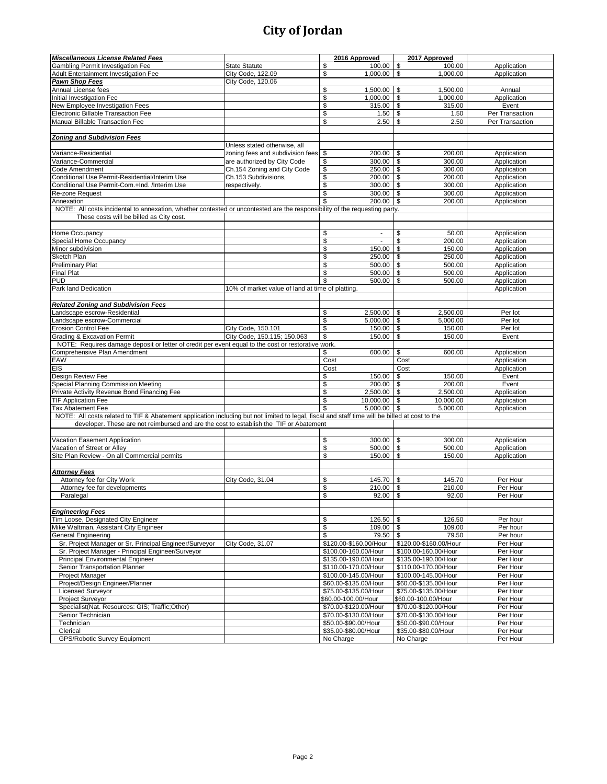| <b>Miscellaneous License Related Fees</b>                                                                                                      |                                                  | 2016 Approved             | 2017 Approved          |                      |
|------------------------------------------------------------------------------------------------------------------------------------------------|--------------------------------------------------|---------------------------|------------------------|----------------------|
| Gambling Permit Investigation Fee                                                                                                              | <b>State Statute</b>                             | \$<br>100.00 \$           | 100.00                 | Application          |
| Adult Entertainment Investigation Fee                                                                                                          | City Code, 122.09                                | \$<br>$1,000.00$ \$       | 1,000.00               | Application          |
| <b>Pawn Shop Fees</b>                                                                                                                          | City Code, 120.06                                |                           |                        |                      |
| Annual License fees                                                                                                                            |                                                  | \$<br>$1,500.00$ \$       | 1.500.00               | Annual               |
| Initial Investigation Fee                                                                                                                      |                                                  | $\mathsf{\$}$<br>1,000.00 | \$<br>1,000.00         | Application          |
| New Employee Investigation Fees                                                                                                                |                                                  | \$<br>315.00              | \$<br>315.00           | Event                |
| Electronic Billable Transaction Fee                                                                                                            |                                                  | \$<br>1.50                | \$<br>1.50             | Per Transaction      |
| Manual Billable Transaction Fee                                                                                                                |                                                  | \$<br>2.50                | \$<br>2.50             | Per Transaction      |
|                                                                                                                                                |                                                  |                           |                        |                      |
| <b>Zoning and Subdivision Fees</b>                                                                                                             |                                                  |                           |                        |                      |
|                                                                                                                                                | Unless stated otherwise, all                     |                           |                        |                      |
| Variance-Residential                                                                                                                           | zoning fees and subdivision fees                 | \$<br>200.00 \$           | 200.00                 | Application          |
| Variance-Commercial                                                                                                                            | are authorized by City Code                      | \$<br>300.00 \$           | 300.00                 | Application          |
| Code Amendment                                                                                                                                 | Ch.154 Zoning and City Code                      | \$<br>250.00              | \$<br>300.00           | Application          |
| Conditional Use Permit-Residential/Interim Use                                                                                                 | Ch.153 Subdivisions,                             | \$<br>200.00 \$           | 200.00                 | Application          |
| Conditional Use Permit-Com.+Ind. /Interim Use                                                                                                  | respectively.                                    | \$<br>300.00 \$           | 300.00                 | Application          |
| Re-zone Request                                                                                                                                |                                                  | \$<br>$300.00$ \$         | 300.00                 | Application          |
| Annexation                                                                                                                                     |                                                  | \$<br>200.00              | \$<br>200.00           | Application          |
| NOTE: All costs incidental to annexation, whether contested or uncontested are the responsibility of the requesting party.                     |                                                  |                           |                        |                      |
| These costs will be billed as City cost.                                                                                                       |                                                  |                           |                        |                      |
|                                                                                                                                                |                                                  |                           |                        |                      |
| Home Occupancy                                                                                                                                 |                                                  | \$<br>$\sim$              | 50.00<br>\$            | Application          |
| Special Home Occupancy                                                                                                                         |                                                  | \$                        | \$<br>200.00           | Application          |
| Minor subdivision                                                                                                                              |                                                  | \$<br>150.00              | \$<br>150.00           | Application          |
| Sketch Plan                                                                                                                                    |                                                  | \$<br>250.00              | \$<br>250.00           | Application          |
| <b>Preliminary Plat</b>                                                                                                                        |                                                  | \$<br>500.00              | \$<br>500.00           | Application          |
| <b>Final Plat</b>                                                                                                                              |                                                  | \$<br>$500.00$ \$         | 500.00                 | Application          |
| <b>PUD</b>                                                                                                                                     |                                                  | \$<br>500.00              | \$<br>500.00           | Application          |
| Park land Dedication                                                                                                                           | 10% of market value of land at time of platting. |                           |                        | Application          |
|                                                                                                                                                |                                                  |                           |                        |                      |
| <b>Related Zoning and Subdivision Fees</b>                                                                                                     |                                                  |                           |                        |                      |
| Landscape escrow-Residential                                                                                                                   |                                                  | \$<br>2,500.00            | $\sqrt{3}$<br>2,500.00 | Per lot              |
| Landscape escrow-Commercial                                                                                                                    |                                                  | \$<br>5,000.00            | \$<br>5,000.00         | Per lot              |
| <b>Erosion Control Fee</b>                                                                                                                     | City Code, 150.101                               | \$<br>150.00              | \$<br>150.00           | Per lot              |
| <b>Grading &amp; Excavation Permit</b>                                                                                                         | City Code, 150.115; 150.063                      | \$<br>150.00              | \$<br>150.00           | Event                |
| NOTE: Requires damage deposit or letter of credit per event equal to the cost or restorative work.                                             |                                                  |                           |                        |                      |
| Comprehensive Plan Amendment                                                                                                                   |                                                  | 600.00<br>\$              | \$<br>600.00           | Application          |
| EAW                                                                                                                                            |                                                  | Cost                      | Cost                   | Application          |
| <b>EIS</b>                                                                                                                                     |                                                  | Cost                      | Cost                   | Application          |
| Design Review Fee                                                                                                                              |                                                  | \$<br>150.00              | \$<br>150.00           | Event                |
| Special Planning Commission Meeting                                                                                                            |                                                  | \$<br>$200.00$ \$         | 200.00                 | Event                |
| Private Activity Revenue Bond Financing Fee                                                                                                    |                                                  | \$<br>$2,500.00$ \$       | 2,500.00               | Application          |
| <b>TIF Application Fee</b>                                                                                                                     |                                                  | \$<br>10,000.00           | \$<br>10,000.00        | Application          |
| <b>Tax Abatement Fee</b>                                                                                                                       |                                                  | \$<br>5,000.00            | \$<br>5,000.00         | Application          |
| NOTE: All costs related to TIF & Abatement application including but not limited to legal, fiscal and staff time will be billed at cost to the |                                                  |                           |                        |                      |
| developer. These are not reimbursed and are the cost to establish the TIF or Abatement                                                         |                                                  |                           |                        |                      |
|                                                                                                                                                |                                                  |                           |                        |                      |
| Vacation Easement Application                                                                                                                  |                                                  | \$<br>300.00 \$           | 300.00                 | Application          |
| Vacation of Street or Alley                                                                                                                    |                                                  | \$<br>500.00 \$           | 500.00                 | Application          |
| Site Plan Review - On all Commercial permits                                                                                                   |                                                  | \$<br>150.00              | \$<br>150.00           | Application          |
|                                                                                                                                                |                                                  |                           |                        |                      |
| <b>Attorney Fees</b>                                                                                                                           |                                                  |                           |                        |                      |
| Attorney fee for City Work                                                                                                                     | City Code, 31.04                                 | \$<br>145.70 \$           | 145.70                 | Per Hour             |
| Attorney fee for developments                                                                                                                  |                                                  | \$<br>210.00              | \$<br>210.00           | Per Hour             |
| Paralegal                                                                                                                                      |                                                  | $\mathbf{\hat{S}}$        | 92.00                  | Per Hour             |
|                                                                                                                                                |                                                  |                           |                        |                      |
| <b>Engineering Fees</b>                                                                                                                        |                                                  |                           |                        |                      |
| Tim Loose, Designated City Engineer                                                                                                            |                                                  | $126.50$ \$<br>\$         | 126.50                 | Per hour             |
| Mike Waltman, Assistant City Engineer                                                                                                          |                                                  | \$<br>$109.00$ \$         | 109.00                 | Per hour             |
| <b>General Engineering</b>                                                                                                                     |                                                  | \$<br>79.50               | \$<br>79.50            | Per hour             |
| Sr. Project Manager or Sr. Principal Engineer/Surveyor                                                                                         | City Code, 31.07                                 | \$120.00-\$160.00/Hour    | \$120.00-\$160.00/Hour | Per Hour             |
| Sr. Project Manager - Principal Engineer/Surveyor                                                                                              |                                                  | \$100.00-160.00/Hour      | \$100.00-160.00/Hour   | Per Hour             |
| Principal Environmental Engineer                                                                                                               |                                                  | \$135.00-190.00/Hour      | \$135.00-190.00/Hour   | Per Hour             |
| Senior Transportation Planner                                                                                                                  |                                                  | \$110.00-170.00/Hour      | \$110.00-170.00/Hour   | Per Hour             |
| Project Manager                                                                                                                                |                                                  | \$100.00-145.00/Hour      | \$100.00-145.00/Hour   | Per Hour             |
| Project/Design Engineer/Planner                                                                                                                |                                                  | \$60.00-\$135.00/Hour     | \$60.00-\$135.00/Hour  | Per Hour             |
| <b>Licensed Surveyor</b>                                                                                                                       |                                                  | \$75.00-\$135.00/Hour     | \$75.00-\$135.00/Hour  | Per Hour             |
| Project Surveyor                                                                                                                               |                                                  | \$60.00-100.00/Hour       | \$60.00-100.00/Hour    | Per Hour             |
| Specialist(Nat. Resources: GIS; Traffic;Other)                                                                                                 |                                                  | \$70.00-\$120.00/Hour     | \$70.00-\$120.00/Hour  | Per Hour             |
| Senior Technician                                                                                                                              |                                                  | \$70.00-\$130.00/Hour     | \$70.00-\$130.00/Hour  | Per Hour             |
| Technician                                                                                                                                     |                                                  | \$50.00-\$90.00/Hour      | \$50.00-\$90.00/Hour   | Per Hour             |
|                                                                                                                                                |                                                  |                           | \$35.00-\$80.00/Hour   |                      |
| Clerical<br><b>GPS/Robotic Survey Equipment</b>                                                                                                |                                                  | \$35.00-\$80.00/Hour      |                        | Per Hour<br>Per Hour |
|                                                                                                                                                |                                                  | No Charge                 | No Charge              |                      |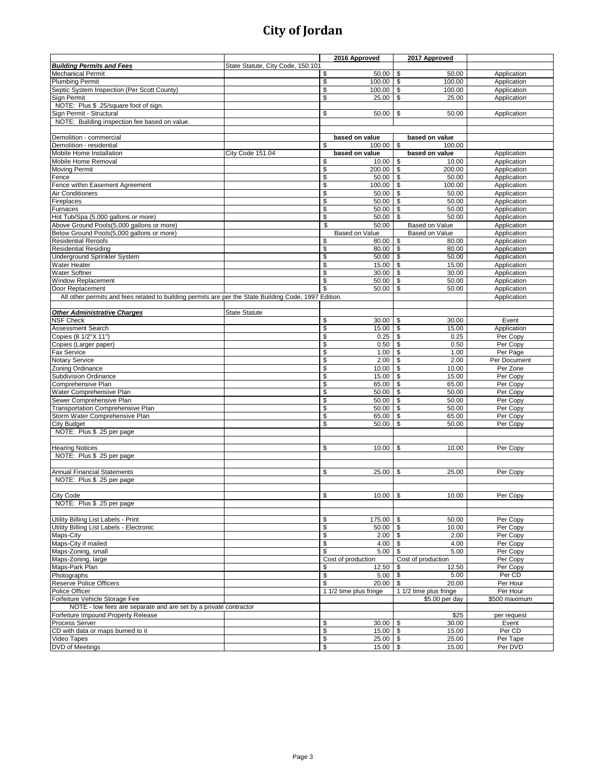|                                                                                                       |                                   |     | 2016 Approved          |      | 2017 Approved          |               |
|-------------------------------------------------------------------------------------------------------|-----------------------------------|-----|------------------------|------|------------------------|---------------|
| <b>Building Permits and Fees</b>                                                                      | State Statute, City Code, 150.101 |     |                        |      |                        |               |
| <b>Mechanical Permit</b>                                                                              |                                   | \$  | 50.00                  | \$   | 50.00                  | Application   |
| <b>Plumbing Permit</b>                                                                                |                                   | \$  | $100.00$ \$            |      | 100.00                 | Application   |
| Septic System Inspection (Per Scott County)                                                           |                                   | \$  | $100.00$ \$            |      | 100.00                 | Application   |
| <b>Sign Permit</b>                                                                                    |                                   | \$  | 25.00                  | \$   | 25.00                  | Application   |
| NOTE: Plus \$ .25/square foot of sign.                                                                |                                   |     |                        |      |                        |               |
| Sign Permit - Structural                                                                              |                                   | \$  | 50.00                  | \$   | 50.00                  | Application   |
| NOTE: Building inspection fee based on value.                                                         |                                   |     |                        |      |                        |               |
|                                                                                                       |                                   |     |                        |      |                        |               |
| Demolition - commercial                                                                               |                                   |     | based on value         |      | based on value         |               |
| Demolition - residential                                                                              |                                   | \$  | 100.00                 | \$   | 100.00                 |               |
| Mobile Home Installation                                                                              | City Code 151.04                  |     | based on value         |      | based on value         | Application   |
| Mobile Home Removal                                                                                   |                                   | \$  | $10.00$ \$             |      | 10.00                  | Application   |
| <b>Moving Permit</b>                                                                                  |                                   | \$  | 200.00                 | \$   | 200.00                 | Application   |
| Fence                                                                                                 |                                   | \$  | $50.00$ \$             |      | 50.00                  | Application   |
| Fence within Easement Agreement                                                                       |                                   | \$  | $100.00$ \$            |      | 100.00                 | Application   |
| Air Conditioners                                                                                      |                                   | \$  | 50.00                  | \$   | 50.00                  | Application   |
| Fireplaces                                                                                            |                                   | \$  | $50.00$ \\$            |      | 50.00                  | Application   |
| Furnaces                                                                                              |                                   | \$  |                        |      | 50.00                  | Application   |
| Hot Tub/Spa (5,000 gallons or more)                                                                   |                                   | \$  | 50.00                  | \$   | 50.00                  | Application   |
| Above Ground Pools(5,000 gallons or more)                                                             |                                   | \$  | 50.00                  |      | Based on Value         | Application   |
| Below Ground Pools(5,000 gallons or more)                                                             |                                   |     | Based on Value         |      | Based on Value         | Application   |
| <b>Residential Reroofs</b>                                                                            |                                   | \$  | 80.00                  | \$   | 80.00                  | Application   |
| <b>Residential Residing</b>                                                                           |                                   | \$  | 80.00 \$               |      | 80.00                  | Application   |
| Underground Sprinkler System                                                                          |                                   | \$  | $50.00$ \$             |      | 50.00                  | Application   |
| <b>Water Heater</b>                                                                                   |                                   | \$  | 15.00                  | \$   | 15.00                  | Application   |
| Water Softner                                                                                         |                                   | \$  | $30.00$ \$             |      | 30.00                  | Application   |
| <b>Window Replacement</b>                                                                             |                                   | \$  | 50.00                  | \$   | 50.00                  | Application   |
| Door Replacement                                                                                      |                                   |     | 50.00                  | \$   | 50.00                  | Application   |
| All other permits and fees related to building permits are per the State Building Code, 1997 Edition. |                                   |     |                        |      |                        | Application   |
|                                                                                                       |                                   |     |                        |      |                        |               |
| <b>Other Administrative Charges</b>                                                                   | <b>State Statute</b>              |     |                        |      |                        |               |
| <b>NSF Check</b>                                                                                      |                                   | \$  | $30.00$   \$           |      | 30.00                  | Event         |
| Assessment Search                                                                                     |                                   | \$  | 15.00                  | \$   | 15.00                  | Application   |
| Copies (8 1/2"X 11")                                                                                  |                                   | \$  | 0.25                   | \$   | 0.25                   | Per Copy      |
| Copies (Larger paper)                                                                                 |                                   | \$  | 0.50                   | \$   | 0.50                   | Per Copy      |
| Fax Service                                                                                           |                                   | \$  | 1.00                   | \$   | 1.00                   | Per Page      |
| Notary Service                                                                                        |                                   | \$  | 2.00                   | l \$ | 2.00                   | Per Document  |
| Zoning Ordinance                                                                                      |                                   | \$  | 10.00                  | \$   | 10.00                  | Per Zone      |
| <b>Subdivision Ordinance</b>                                                                          |                                   | \$  | 15.00                  | \$   | 15.00                  | Per Copy      |
| Comprehensive Plan                                                                                    |                                   | \$  | 65.00 \$               |      | 65.00                  | Per Copy      |
| Water Comprehensive Plan                                                                              |                                   | \$  | 50.00                  | \$   | 50.00                  | Per Copy      |
| Sewer Comprehensive Plan                                                                              |                                   | \$  | 50.00                  | \$   | 50.00                  | Per Copy      |
| <b>Transportation Comprehensive Plan</b>                                                              |                                   | \$  | $50.00$ \$             |      | 50.00                  | Per Copy      |
| Storm Water Comprehensive Plan                                                                        |                                   | \$  | 65.00                  | \$   | 65.00                  | Per Copy      |
| <b>City Budget</b>                                                                                    |                                   | \$  | 50.00                  | \$   | 50.00                  | Per Copy      |
| NOTE: Plus \$.25 per page                                                                             |                                   |     |                        |      |                        |               |
|                                                                                                       |                                   |     |                        |      |                        |               |
| <b>Hearing Notices</b>                                                                                |                                   | S   | 10.00                  | \$   | 10.00                  | Per Copy      |
| NOTE: Plus \$.25 per page                                                                             |                                   |     |                        |      |                        |               |
|                                                                                                       |                                   |     |                        |      |                        |               |
| <b>Annual Financial Statements</b>                                                                    |                                   | \$  | 25.00                  | \$   | 25.00                  | Per Copy      |
| NOTE: Plus \$ .25 per page                                                                            |                                   |     |                        |      |                        |               |
|                                                                                                       |                                   |     |                        |      |                        |               |
| City Code                                                                                             |                                   | \$. | $10.00$ \$             |      | 10.00                  | Per Copy      |
| NOTE: Plus \$ .25 per page                                                                            |                                   |     |                        |      |                        |               |
|                                                                                                       |                                   |     |                        |      |                        |               |
| Utility Billing List Labels - Print                                                                   |                                   | \$  | $175.00$ \ \$          |      | 50.00                  | Per Copy      |
| Utility Billing List Labels - Electronic                                                              |                                   | \$  | $50.00$ \$             |      | 10.00                  | Per Copy      |
| Maps-City                                                                                             |                                   | \$  | $2.00$ \$              |      | 2.00                   | Per Copy      |
| Maps-City if mailed                                                                                   |                                   | \$  | 4.00                   | \$   | 4.00                   | Per Copy      |
| Maps-Zoning, small                                                                                    |                                   | \$  | 5.00                   | \$   | 5.00                   | Per Copy      |
| Maps-Zoning, large                                                                                    |                                   |     | Cost of production     |      | Cost of production     | Per Copy      |
| Maps-Park Plan                                                                                        |                                   | \$  | 12.50                  | \$   | 12.50                  | Per Copy      |
| Photographs                                                                                           |                                   | \$  | 5.00                   | \$   | 5.00                   | Per CD        |
| <b>Reserve Police Officers</b>                                                                        |                                   | \$  | 20.00                  | \$   | 20.00                  | Per Hour      |
| Police Officer                                                                                        |                                   |     | 1 1/2 time plus fringe |      | 1 1/2 time plus fringe | Per Hour      |
| Forfeiture Vehicle Storage Fee                                                                        |                                   |     |                        |      | \$5.00 per day         | \$500 maximum |
| NOTE - tow fees are separate and are set by a private contractor                                      |                                   |     |                        |      |                        |               |
| Forfeiture Impound Property Release                                                                   |                                   |     |                        |      | \$25                   | per request   |
| Process Server                                                                                        |                                   | \$  | $30.00$ \$             |      | 30.00                  | Event         |
| CD with data or maps burned to it                                                                     |                                   | \$  | $15.00$ \$             |      | 15.00                  | Per CD        |
| Video Tapes                                                                                           |                                   | \$  | $25.00$ \$             |      | 25.00                  | Per Tape      |
| DVD of Meetings                                                                                       |                                   | \$  | $15.00$ \$             |      | 15.00                  | Per DVD       |